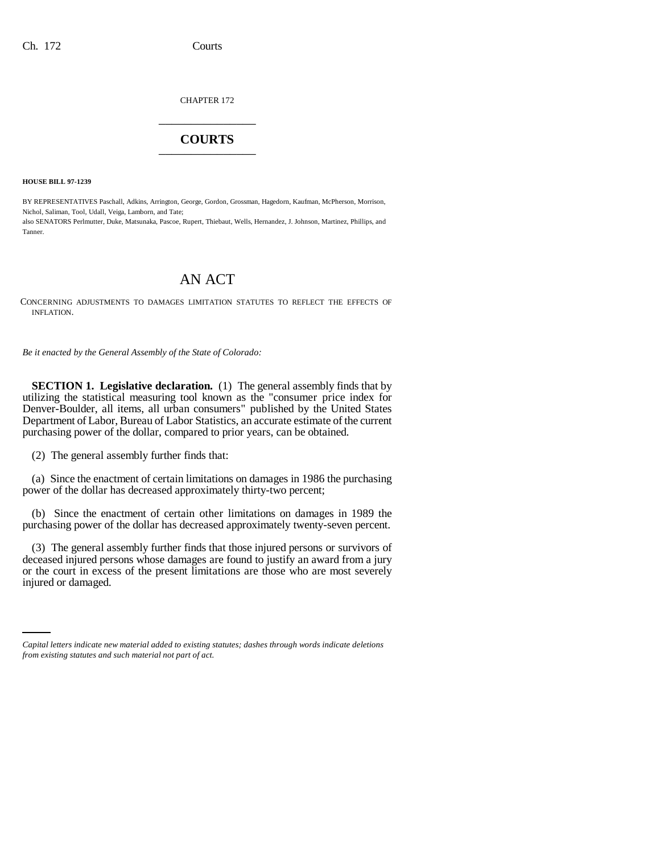CHAPTER 172 \_\_\_\_\_\_\_\_\_\_\_\_\_\_\_

## **COURTS** \_\_\_\_\_\_\_\_\_\_\_\_\_\_\_

**HOUSE BILL 97-1239**

BY REPRESENTATIVES Paschall, Adkins, Arrington, George, Gordon, Grossman, Hagedorn, Kaufman, McPherson, Morrison, Nichol, Saliman, Tool, Udall, Veiga, Lamborn, and Tate; also SENATORS Perlmutter, Duke, Matsunaka, Pascoe, Rupert, Thiebaut, Wells, Hernandez, J. Johnson, Martinez, Phillips, and Tanner.

## AN ACT

CONCERNING ADJUSTMENTS TO DAMAGES LIMITATION STATUTES TO REFLECT THE EFFECTS OF INFLATION.

*Be it enacted by the General Assembly of the State of Colorado:*

**SECTION 1. Legislative declaration.** (1) The general assembly finds that by utilizing the statistical measuring tool known as the "consumer price index for Denver-Boulder, all items, all urban consumers" published by the United States Department of Labor, Bureau of Labor Statistics, an accurate estimate of the current purchasing power of the dollar, compared to prior years, can be obtained.

(2) The general assembly further finds that:

(a) Since the enactment of certain limitations on damages in 1986 the purchasing power of the dollar has decreased approximately thirty-two percent;

(b) Since the enactment of certain other limitations on damages in 1989 the purchasing power of the dollar has decreased approximately twenty-seven percent.

or the court in excess of the present limitations are those who are most severely injured or damaged (3) The general assembly further finds that those injured persons or survivors of deceased injured persons whose damages are found to justify an award from a jury injured or damaged.

*Capital letters indicate new material added to existing statutes; dashes through words indicate deletions from existing statutes and such material not part of act.*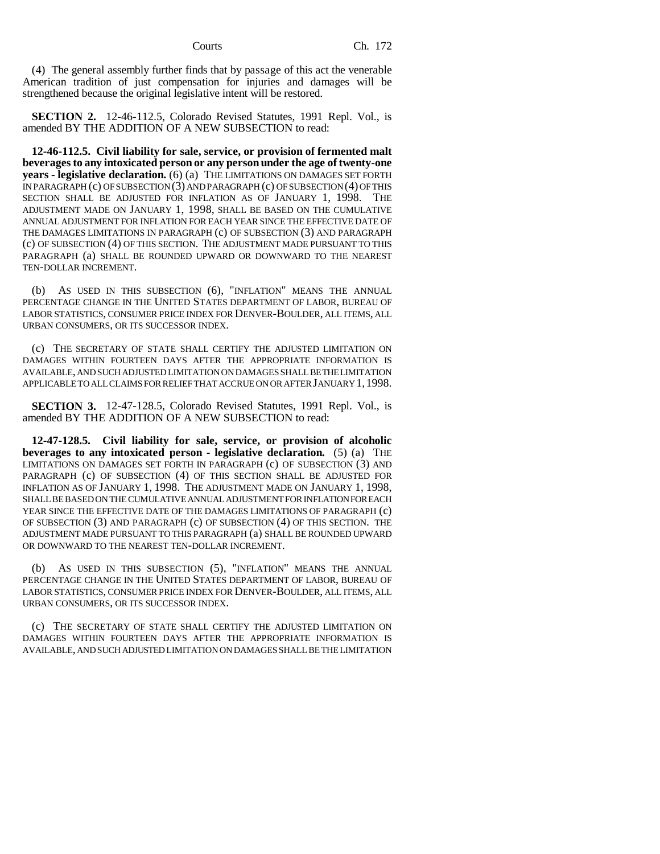(4) The general assembly further finds that by passage of this act the venerable American tradition of just compensation for injuries and damages will be strengthened because the original legislative intent will be restored.

**SECTION 2.** 12-46-112.5, Colorado Revised Statutes, 1991 Repl. Vol., is amended BY THE ADDITION OF A NEW SUBSECTION to read:

**12-46-112.5. Civil liability for sale, service, or provision of fermented malt beverages to any intoxicated person or any person under the age of twenty-one years - legislative declaration.** (6) (a) THE LIMITATIONS ON DAMAGES SET FORTH IN PARAGRAPH (c) OF SUBSECTION (3) AND PARAGRAPH (c) OF SUBSECTION (4) OF THIS SECTION SHALL BE ADJUSTED FOR INFLATION AS OF JANUARY 1, 1998. THE ADJUSTMENT MADE ON JANUARY 1, 1998, SHALL BE BASED ON THE CUMULATIVE ANNUAL ADJUSTMENT FOR INFLATION FOR EACH YEAR SINCE THE EFFECTIVE DATE OF THE DAMAGES LIMITATIONS IN PARAGRAPH (c) OF SUBSECTION (3) AND PARAGRAPH (c) OF SUBSECTION (4) OF THIS SECTION. THE ADJUSTMENT MADE PURSUANT TO THIS PARAGRAPH (a) SHALL BE ROUNDED UPWARD OR DOWNWARD TO THE NEAREST TEN-DOLLAR INCREMENT.

(b) AS USED IN THIS SUBSECTION (6), "INFLATION" MEANS THE ANNUAL PERCENTAGE CHANGE IN THE UNITED STATES DEPARTMENT OF LABOR, BUREAU OF LABOR STATISTICS, CONSUMER PRICE INDEX FOR DENVER-BOULDER, ALL ITEMS, ALL URBAN CONSUMERS, OR ITS SUCCESSOR INDEX.

(c) THE SECRETARY OF STATE SHALL CERTIFY THE ADJUSTED LIMITATION ON DAMAGES WITHIN FOURTEEN DAYS AFTER THE APPROPRIATE INFORMATION IS AVAILABLE, AND SUCH ADJUSTED LIMITATION ON DAMAGES SHALL BE THE LIMITATION APPLICABLE TO ALL CLAIMS FOR RELIEF THAT ACCRUE ON OR AFTER JANUARY 1,1998.

**SECTION 3.** 12-47-128.5, Colorado Revised Statutes, 1991 Repl. Vol., is amended BY THE ADDITION OF A NEW SUBSECTION to read:

**12-47-128.5. Civil liability for sale, service, or provision of alcoholic beverages to any intoxicated person - legislative declaration.** (5) (a) THE LIMITATIONS ON DAMAGES SET FORTH IN PARAGRAPH (c) OF SUBSECTION (3) AND PARAGRAPH (c) OF SUBSECTION (4) OF THIS SECTION SHALL BE ADJUSTED FOR INFLATION AS OF JANUARY 1, 1998. THE ADJUSTMENT MADE ON JANUARY 1, 1998, SHALL BE BASED ON THE CUMULATIVE ANNUAL ADJUSTMENT FOR INFLATION FOR EACH YEAR SINCE THE EFFECTIVE DATE OF THE DAMAGES LIMITATIONS OF PARAGRAPH (c) OF SUBSECTION (3) AND PARAGRAPH (c) OF SUBSECTION (4) OF THIS SECTION. THE ADJUSTMENT MADE PURSUANT TO THIS PARAGRAPH (a) SHALL BE ROUNDED UPWARD OR DOWNWARD TO THE NEAREST TEN-DOLLAR INCREMENT.

(b) AS USED IN THIS SUBSECTION (5), "INFLATION" MEANS THE ANNUAL PERCENTAGE CHANGE IN THE UNITED STATES DEPARTMENT OF LABOR, BUREAU OF LABOR STATISTICS, CONSUMER PRICE INDEX FOR DENVER-BOULDER, ALL ITEMS, ALL URBAN CONSUMERS, OR ITS SUCCESSOR INDEX.

(c) THE SECRETARY OF STATE SHALL CERTIFY THE ADJUSTED LIMITATION ON DAMAGES WITHIN FOURTEEN DAYS AFTER THE APPROPRIATE INFORMATION IS AVAILABLE, AND SUCH ADJUSTED LIMITATION ON DAMAGES SHALL BE THE LIMITATION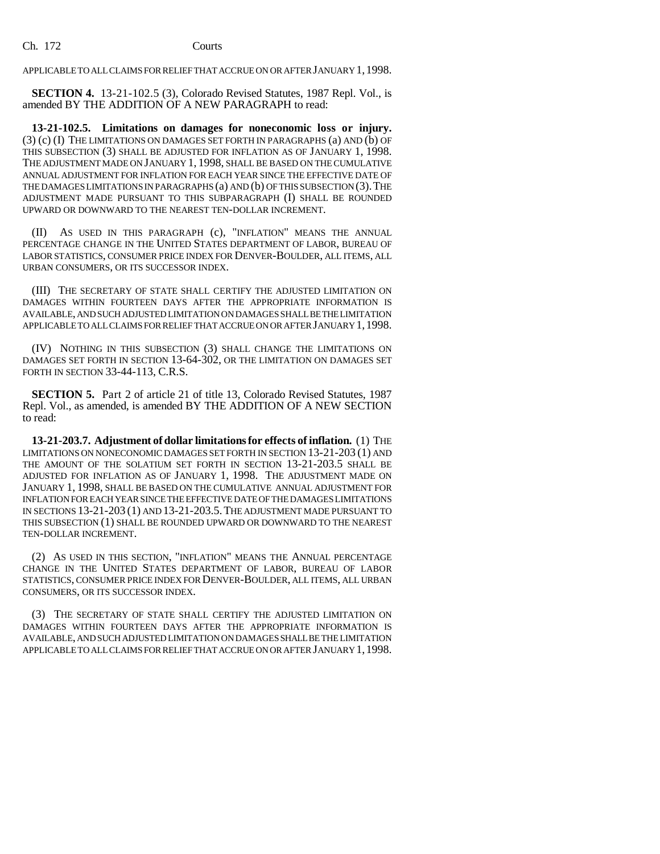APPLICABLE TO ALL CLAIMS FOR RELIEF THAT ACCRUE ON OR AFTER JANUARY 1,1998.

**SECTION 4.** 13-21-102.5 (3), Colorado Revised Statutes, 1987 Repl. Vol., is amended BY THE ADDITION OF A NEW PARAGRAPH to read:

**13-21-102.5. Limitations on damages for noneconomic loss or injury.** (3) (c) (I) THE LIMITATIONS ON DAMAGES SET FORTH IN PARAGRAPHS (a) AND (b) OF THIS SUBSECTION (3) SHALL BE ADJUSTED FOR INFLATION AS OF JANUARY 1, 1998. THE ADJUSTMENT MADE ON JANUARY 1, 1998, SHALL BE BASED ON THE CUMULATIVE ANNUAL ADJUSTMENT FOR INFLATION FOR EACH YEAR SINCE THE EFFECTIVE DATE OF THE DAMAGES LIMITATIONS IN PARAGRAPHS (a) AND (b) OF THIS SUBSECTION (3).THE ADJUSTMENT MADE PURSUANT TO THIS SUBPARAGRAPH (I) SHALL BE ROUNDED UPWARD OR DOWNWARD TO THE NEAREST TEN-DOLLAR INCREMENT.

(II) AS USED IN THIS PARAGRAPH (c), "INFLATION" MEANS THE ANNUAL PERCENTAGE CHANGE IN THE UNITED STATES DEPARTMENT OF LABOR, BUREAU OF LABOR STATISTICS, CONSUMER PRICE INDEX FOR DENVER-BOULDER, ALL ITEMS, ALL URBAN CONSUMERS, OR ITS SUCCESSOR INDEX.

(III) THE SECRETARY OF STATE SHALL CERTIFY THE ADJUSTED LIMITATION ON DAMAGES WITHIN FOURTEEN DAYS AFTER THE APPROPRIATE INFORMATION IS AVAILABLE, AND SUCH ADJUSTED LIMITATION ON DAMAGES SHALL BE THE LIMITATION APPLICABLE TO ALL CLAIMS FOR RELIEF THAT ACCRUE ON OR AFTER JANUARY 1,1998.

(IV) NOTHING IN THIS SUBSECTION (3) SHALL CHANGE THE LIMITATIONS ON DAMAGES SET FORTH IN SECTION 13-64-302, OR THE LIMITATION ON DAMAGES SET FORTH IN SECTION 33-44-113, C.R.S.

**SECTION 5.** Part 2 of article 21 of title 13, Colorado Revised Statutes, 1987 Repl. Vol., as amended, is amended BY THE ADDITION OF A NEW SECTION to read:

**13-21-203.7. Adjustment of dollar limitations for effects of inflation.** (1) THE LIMITATIONS ON NONECONOMIC DAMAGES SET FORTH IN SECTION 13-21-203 (1) AND THE AMOUNT OF THE SOLATIUM SET FORTH IN SECTION 13-21-203.5 SHALL BE ADJUSTED FOR INFLATION AS OF JANUARY 1, 1998. THE ADJUSTMENT MADE ON JANUARY 1, 1998, SHALL BE BASED ON THE CUMULATIVE ANNUAL ADJUSTMENT FOR INFLATION FOR EACH YEAR SINCE THE EFFECTIVE DATE OF THE DAMAGES LIMITATIONS IN SECTIONS 13-21-203 (1) AND 13-21-203.5.THE ADJUSTMENT MADE PURSUANT TO THIS SUBSECTION (1) SHALL BE ROUNDED UPWARD OR DOWNWARD TO THE NEAREST TEN-DOLLAR INCREMENT.

(2) AS USED IN THIS SECTION, "INFLATION" MEANS THE ANNUAL PERCENTAGE CHANGE IN THE UNITED STATES DEPARTMENT OF LABOR, BUREAU OF LABOR STATISTICS, CONSUMER PRICE INDEX FOR DENVER-BOULDER, ALL ITEMS, ALL URBAN CONSUMERS, OR ITS SUCCESSOR INDEX.

(3) THE SECRETARY OF STATE SHALL CERTIFY THE ADJUSTED LIMITATION ON DAMAGES WITHIN FOURTEEN DAYS AFTER THE APPROPRIATE INFORMATION IS AVAILABLE, AND SUCH ADJUSTED LIMITATION ON DAMAGES SHALL BE THE LIMITATION APPLICABLE TO ALL CLAIMS FOR RELIEF THAT ACCRUE ON OR AFTER JANUARY 1,1998.